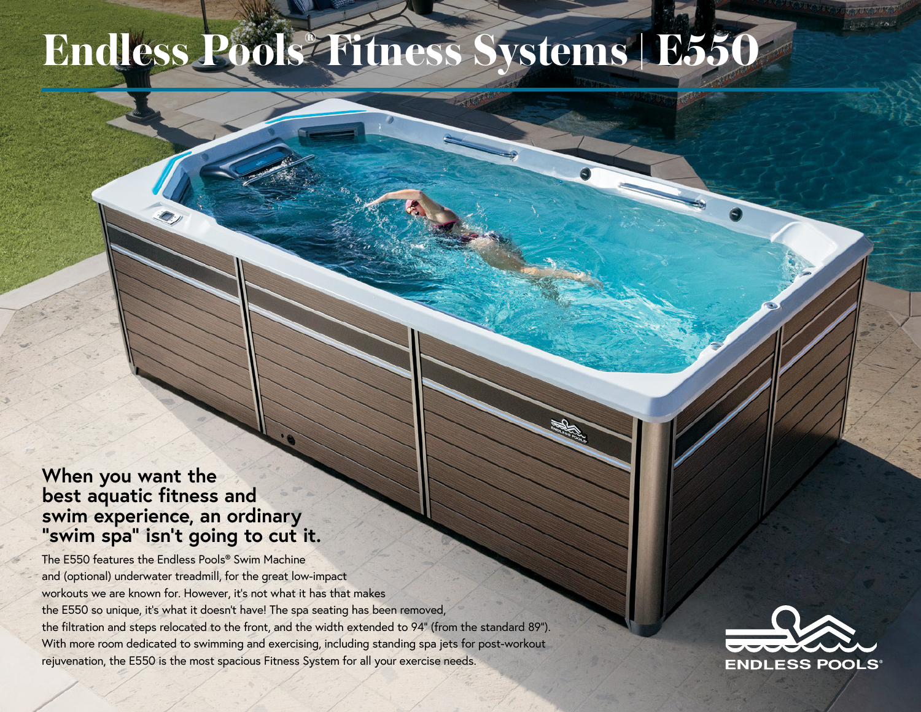## **Endless Pools® Fitness Systems | E550**

## **When you want the best aquatic fitness and swim experience, an ordinary "swim spa" isn't going to cut it.**

The E550 features the Endless Pools® Swim Machine and (optional) underwater treadmill, for the great low-impact workouts we are known for. However, it's not what it has that makes the E550 so unique, it's what it doesn't have! The spa seating has been removed, the filtration and steps relocated to the front, and the width extended to 94" (from the standard 89"). With more room dedicated to swimming and exercising, including standing spa jets for post-workout rejuvenation, the E550 is the most spacious Fitness System for all your exercise needs.